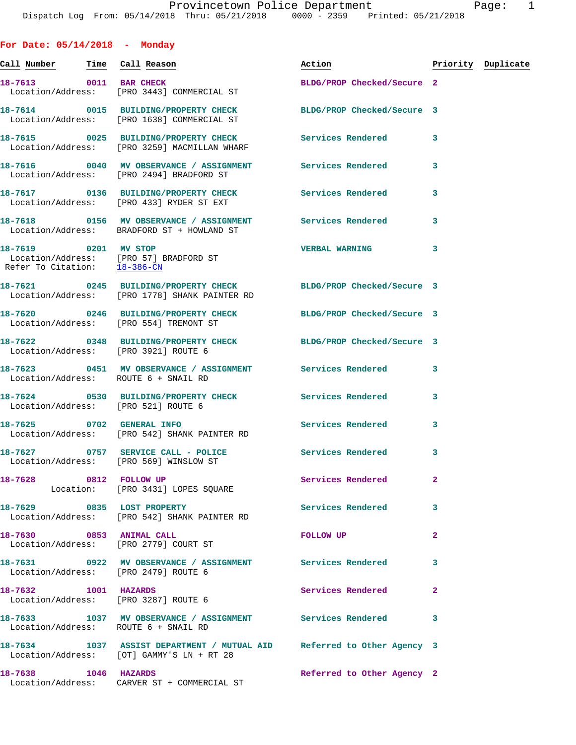**For Date: 05/14/2018 - Monday**

Location/Address: CARVER ST + COMMERCIAL ST

**Call Number Time Call Reason Action Priority Duplicate 18-7613 0011 BAR CHECK BLDG/PROP Checked/Secure 2**  Location/Address: [PRO 3443] COMMERCIAL ST **18-7614 0015 BUILDING/PROPERTY CHECK BLDG/PROP Checked/Secure 3**  Location/Address: [PRO 1638] COMMERCIAL ST **18-7615 0025 BUILDING/PROPERTY CHECK Services Rendered 3**  Location/Address: [PRO 3259] MACMILLAN WHARF **18-7616 0040 MV OBSERVANCE / ASSIGNMENT Services Rendered 3**  Location/Address: [PRO 2494] BRADFORD ST **18-7617 0136 BUILDING/PROPERTY CHECK Services Rendered 3**  Location/Address: [PRO 433] RYDER ST EXT **18-7618 0156 MV OBSERVANCE / ASSIGNMENT Services Rendered 3**  Location/Address: BRADFORD ST + HOWLAND ST **18-7619 0201 MV STOP VERBAL WARNING 3**  Location/Address: [PRO 57] BRADFORD ST Refer To Citation: 18-386-CN **18-7621 0245 BUILDING/PROPERTY CHECK BLDG/PROP Checked/Secure 3**  Location/Address: [PRO 1778] SHANK PAINTER RD **18-7620 0246 BUILDING/PROPERTY CHECK BLDG/PROP Checked/Secure 3**  Location/Address: [PRO 554] TREMONT ST **18-7622 0348 BUILDING/PROPERTY CHECK BLDG/PROP Checked/Secure 3**  Location/Address: [PRO 3921] ROUTE 6 **18-7623 0451 MV OBSERVANCE / ASSIGNMENT Services Rendered 3**  Location/Address: ROUTE 6 + SNAIL RD **18-7624 0530 BUILDING/PROPERTY CHECK Services Rendered 3**  Location/Address: [PRO 521] ROUTE 6 **18-7625 0702 GENERAL INFO Services Rendered 3**  Location/Address: [PRO 542] SHANK PAINTER RD 18-7627 0757 SERVICE CALL - POLICE 3 Services Rendered 3 Location/Address: [PRO 569] WINSLOW ST **18-7628 0812 FOLLOW UP Services Rendered 2**  Location: [PRO 3431] LOPES SOUARE 18-7629 0835 LOST PROPERTY **18-7629** Services Rendered 3 Location/Address: [PRO 542] SHANK PAINTER RD **18-7630 0853 ANIMAL CALL FOLLOW UP 2**  Location/Address: [PRO 2779] COURT ST **18-7631 0922 MV OBSERVANCE / ASSIGNMENT Services Rendered 3**  Location/Address: [PRO 2479] ROUTE 6 **18-7632 1001 HAZARDS Services Rendered 2**  Location/Address: [PRO 3287] ROUTE 6 **18-7633 1037 MV OBSERVANCE / ASSIGNMENT Services Rendered 3**  Location/Address: ROUTE 6 + SNAIL RD **18-7634 1037 ASSIST DEPARTMENT / MUTUAL AID Referred to Other Agency 3**  Location/Address: [OT] GAMMY'S LN + RT 28 **18-7638 1046 HAZARDS Referred to Other Agency 2**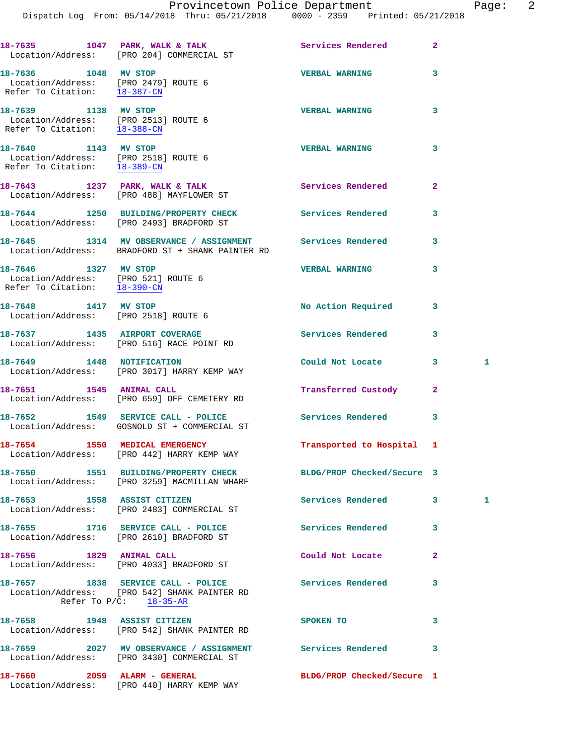Dispatch Log From: 05/14/2018 Thru: 05/21/2018 0000 - 2359 Printed: 05/21/2018

|                                                                                              | 18-7635 1047 PARK, WALK & TALK<br>Location/Address: [PRO 204] COMMERCIAL ST                                     | Services Rendered          | $\mathbf{2}$   |   |
|----------------------------------------------------------------------------------------------|-----------------------------------------------------------------------------------------------------------------|----------------------------|----------------|---|
| 18-7636 1048 MV STOP<br>Location/Address: [PRO 2479] ROUTE 6<br>Refer To Citation: 18-387-CN |                                                                                                                 | <b>VERBAL WARNING</b>      | 3              |   |
| 18-7639 1138 MV STOP<br>Location/Address: [PRO 2513] ROUTE 6<br>Refer To Citation: 18-388-CN |                                                                                                                 | <b>VERBAL WARNING</b>      | 3              |   |
| 18-7640 1143 MV STOP<br>Location/Address: [PRO 2518] ROUTE 6<br>Refer To Citation: 18-389-CN |                                                                                                                 | <b>VERBAL WARNING</b>      | 3              |   |
|                                                                                              | 18-7643 1237 PARK, WALK & TALK<br>Location/Address: [PRO 488] MAYFLOWER ST                                      | Services Rendered          | $\mathbf{2}$   |   |
|                                                                                              | 18-7644 1250 BUILDING/PROPERTY CHECK<br>Location/Address: [PRO 2493] BRADFORD ST                                | <b>Services Rendered</b>   | 3              |   |
|                                                                                              | 18-7645 1314 MV OBSERVANCE / ASSIGNMENT<br>Location/Address: BRADFORD ST + SHANK PAINTER RD                     | <b>Services Rendered</b>   | 3              |   |
| 18-7646 1327 MV STOP<br>Location/Address: [PRO 521] ROUTE 6<br>Refer To Citation: 18-390-CN  |                                                                                                                 | <b>VERBAL WARNING</b>      | 3              |   |
| 18-7648 1417 MV STOP<br>Location/Address: [PRO 2518] ROUTE 6                                 |                                                                                                                 | No Action Required         | 3              |   |
|                                                                                              | 18-7637 1435 AIRPORT COVERAGE<br>Location/Address: [PRO 516] RACE POINT RD                                      | Services Rendered          | 3              |   |
|                                                                                              | 18-7649 1448 NOTIFICATION<br>Location/Address: [PRO 3017] HARRY KEMP WAY                                        | Could Not Locate           | 3              | 1 |
| 18-7651 1545 ANIMAL CALL                                                                     | Location/Address: [PRO 659] OFF CEMETERY RD                                                                     | Transferred Custody        | $\overline{2}$ |   |
|                                                                                              | 18-7652 1549 SERVICE CALL - POLICE<br>Location/Address: GOSNOLD ST + COMMERCIAL ST                              | Services Rendered          | 3              |   |
| 18-7654 1550 MEDICAL EMERGENCY                                                               | Location/Address: [PRO 442] HARRY KEMP WAY                                                                      | Transported to Hospital 1  |                |   |
|                                                                                              | 18-7650 1551 BUILDING/PROPERTY CHECK<br>Location/Address: [PRO 3259] MACMILLAN WHARF                            | BLDG/PROP Checked/Secure 3 |                |   |
|                                                                                              | 18-7653 1558 ASSIST CITIZEN<br>Location/Address: [PRO 2483] COMMERCIAL ST                                       | Services Rendered          | 3              | 1 |
|                                                                                              | 18-7655 1716 SERVICE CALL - POLICE<br>Location/Address: [PRO 2610] BRADFORD ST                                  | Services Rendered          | 3              |   |
| 18-7656 1829 ANIMAL CALL                                                                     | Location/Address: [PRO 4033] BRADFORD ST                                                                        | Could Not Locate           | 2              |   |
|                                                                                              | 18-7657 1838 SERVICE CALL - POLICE<br>Location/Address: [PRO 542] SHANK PAINTER RD<br>Refer To $P/C$ : 18-35-AR | <b>Services Rendered</b>   | 3              |   |
| 18-7658 1948 ASSIST CITIZEN                                                                  | Location/Address: [PRO 542] SHANK PAINTER RD                                                                    | SPOKEN TO                  | 3              |   |
|                                                                                              | 18-7659 2027 MV OBSERVANCE / ASSIGNMENT<br>Location/Address: [PRO 3430] COMMERCIAL ST                           | <b>Services Rendered</b>   | 3              |   |
| 18-7660 2059 ALARM - GENERAL                                                                 | Location/Address: [PRO 440] HARRY KEMP WAY                                                                      | BLDG/PROP Checked/Secure 1 |                |   |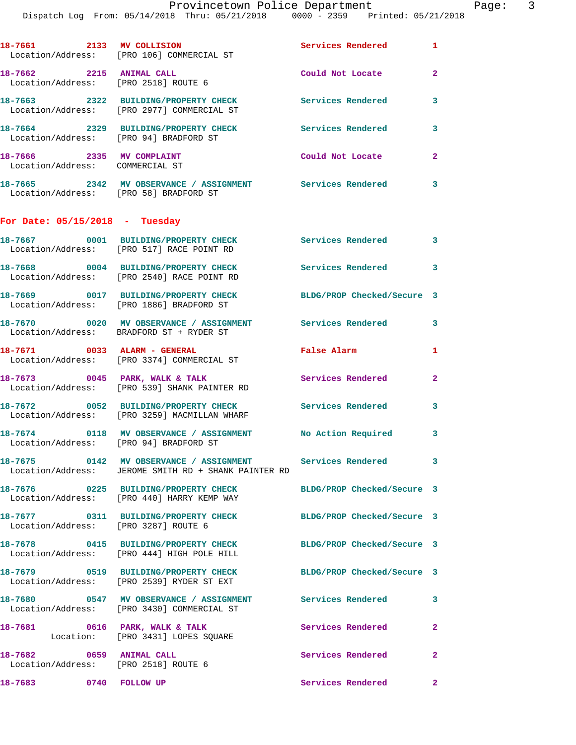|                                                                  | 18-7661 2133 MV COLLISION<br>Location/Address: [PRO 106] COMMERCIAL ST                                              | Services Rendered 1        |                            |
|------------------------------------------------------------------|---------------------------------------------------------------------------------------------------------------------|----------------------------|----------------------------|
| 18-7662 2215 ANIMAL CALL<br>Location/Address: [PRO 2518] ROUTE 6 |                                                                                                                     | Could Not Locate           | $\overline{2}$             |
|                                                                  | 18-7663 2322 BUILDING/PROPERTY CHECK<br>Location/Address: [PRO 2977] COMMERCIAL ST                                  | <b>Services Rendered</b>   | 3                          |
| Location/Address: [PRO 94] BRADFORD ST                           | 18-7664 2329 BUILDING/PROPERTY CHECK                                                                                | <b>Services Rendered</b>   | 3                          |
| 18-7666 2335 MV COMPLAINT<br>Location/Address: COMMERCIAL ST     |                                                                                                                     | Could Not Locate           | $\overline{a}$             |
| Location/Address: [PRO 58] BRADFORD ST                           | 18-7665 2342 MV OBSERVANCE / ASSIGNMENT Services Rendered                                                           |                            | $\overline{\phantom{a}}$ 3 |
| For Date: $05/15/2018$ - Tuesday                                 |                                                                                                                     |                            |                            |
|                                                                  | 18-7667 0001 BUILDING/PROPERTY CHECK<br>Location/Address: [PRO 517] RACE POINT RD                                   | Services Rendered          | $\overline{\phantom{a}}$ 3 |
|                                                                  | 18-7668 0004 BUILDING/PROPERTY CHECK<br>Location/Address: [PRO 2540] RACE POINT RD                                  | Services Rendered 3        |                            |
|                                                                  | 18-7669 0017 BUILDING/PROPERTY CHECK<br>Location/Address: [PRO 1886] BRADFORD ST                                    | BLDG/PROP Checked/Secure 3 |                            |
|                                                                  | 18-7670 0020 MV OBSERVANCE / ASSIGNMENT Services Rendered<br>Location/Address: BRADFORD ST + RYDER ST               |                            | 3                          |
|                                                                  | 18-7671 0033 ALARM - GENERAL<br>Location/Address: [PRO 3374] COMMERCIAL ST                                          | False Alarm                | $\mathbf{1}$               |
| 18-7673 0045 PARK, WALK & TALK                                   | Location/Address: [PRO 539] SHANK PAINTER RD                                                                        | Services Rendered          | $\mathbf{2}$               |
|                                                                  | 18-7672 0052 BUILDING/PROPERTY CHECK<br>Location/Address: [PRO 3259] MACMILLAN WHARF                                | <b>Services Rendered</b>   | 3                          |
|                                                                  | 18-7674 0118 MV OBSERVANCE / ASSIGNMENT No Action Required 3<br>Location/Address: [PRO 94] BRADFORD ST              |                            |                            |
|                                                                  | 18-7675 0142 MV OBSERVANCE / ASSIGNMENT Services Rendered 3<br>Location/Address: JEROME SMITH RD + SHANK PAINTER RD |                            |                            |
|                                                                  | 18-7676 0225 BUILDING/PROPERTY CHECK<br>Location/Address: [PRO 440] HARRY KEMP WAY                                  | BLDG/PROP Checked/Secure 3 |                            |
| Location/Address: [PRO 3287] ROUTE 6                             | 18-7677 0311 BUILDING/PROPERTY CHECK                                                                                | BLDG/PROP Checked/Secure 3 |                            |
|                                                                  | 18-7678 0415 BUILDING/PROPERTY CHECK BLDG/PROP Checked/Secure 3<br>Location/Address: [PRO 444] HIGH POLE HILL       |                            |                            |
|                                                                  | 18-7679 0519 BUILDING/PROPERTY CHECK BLDG/PROP Checked/Secure 3<br>Location/Address: [PRO 2539] RYDER ST EXT        |                            |                            |
|                                                                  | 18-7680 0547 MV OBSERVANCE / ASSIGNMENT Services Rendered 3<br>Location/Address: [PRO 3430] COMMERCIAL ST           |                            |                            |
|                                                                  | 18-7681 0616 PARK, WALK & TALK<br>Location: [PRO 3431] LOPES SQUARE                                                 | Services Rendered          | $\mathbf{2}$               |
| 18-7682 0659 ANIMAL CALL<br>Location/Address: [PRO 2518] ROUTE 6 |                                                                                                                     | Services Rendered          | $\mathbf{2}$               |
| 18-7683 0740 FOLLOW UP                                           |                                                                                                                     | Services Rendered 2        |                            |
|                                                                  |                                                                                                                     |                            |                            |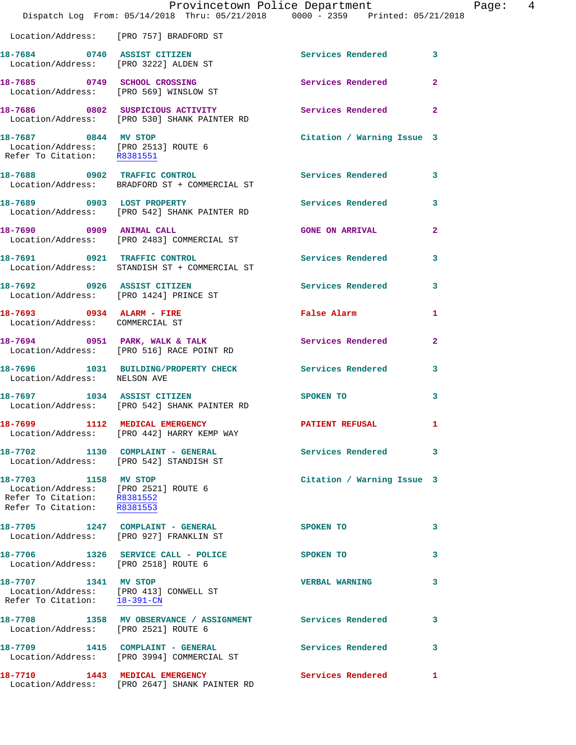|                                                                                                                                         | Provincetown Police Department The Page: 4<br>Dispatch Log From: 05/14/2018 Thru: 05/21/2018 0000 - 2359 Printed: 05/21/2018 |                                                  |                         |  |
|-----------------------------------------------------------------------------------------------------------------------------------------|------------------------------------------------------------------------------------------------------------------------------|--------------------------------------------------|-------------------------|--|
|                                                                                                                                         | Location/Address: [PRO 757] BRADFORD ST                                                                                      |                                                  |                         |  |
|                                                                                                                                         | 18-7684 0740 ASSIST CITIZEN<br>Location/Address: [PRO 3222] ALDEN ST                                                         | Services Rendered 3                              |                         |  |
|                                                                                                                                         | 18-7685 0749 SCHOOL CROSSING<br>Location/Address: [PRO 569] WINSLOW ST                                                       | Services Rendered 2                              |                         |  |
|                                                                                                                                         | 18-7686 0802 SUSPICIOUS ACTIVITY<br>Location/Address: [PRO 530] SHANK PAINTER RD                                             | Services Rendered 2                              |                         |  |
| 18-7687 0844 MV STOP                                                                                                                    | Location/Address: [PRO 2513] ROUTE 6<br>Refer To Citation: R8381551                                                          | Citation / Warning Issue 3                       |                         |  |
|                                                                                                                                         | 18-7688 0902 TRAFFIC CONTROL<br>Location/Address: BRADFORD ST + COMMERCIAL ST                                                | Services Rendered 3                              |                         |  |
|                                                                                                                                         | 18-7689 0903 LOST PROPERTY<br>Location/Address: [PRO 542] SHANK PAINTER RD                                                   | Services Rendered                                | $\overline{\mathbf{3}}$ |  |
|                                                                                                                                         | 18-7690 0909 ANIMAL CALL<br>Location/Address: [PRO 2483] COMMERCIAL ST                                                       | <b>GONE ON ARRIVAL</b>                           | $\mathbf{2}$            |  |
|                                                                                                                                         | 18-7691 0921 TRAFFIC CONTROL<br>Location/Address: STANDISH ST + COMMERCIAL ST                                                | Services Rendered                                | 3                       |  |
|                                                                                                                                         | 18-7692 0926 ASSIST CITIZEN Services Rendered 3<br>Location/Address: [PRO 1424] PRINCE ST                                    |                                                  |                         |  |
| Location/Address: COMMERCIAL ST                                                                                                         | 18-7693 0934 ALARM - FIRE                                                                                                    | False Alarm <b>Francisco Executive Structure</b> | 1                       |  |
|                                                                                                                                         | 18-7694 0951 PARK, WALK & TALK<br>Location/Address: [PRO 516] RACE POINT RD                                                  | Services Rendered                                | $\mathbf{2}$            |  |
| Location/Address: NELSON AVE                                                                                                            | 18-7696 1031 BUILDING/PROPERTY CHECK Services Rendered 3                                                                     |                                                  |                         |  |
|                                                                                                                                         | 18-7697 1034 ASSIST CITIZEN<br>Location/Address: [PRO 542] SHANK PAINTER RD                                                  | <b>SPOKEN TO</b>                                 | 3                       |  |
|                                                                                                                                         | 18-7699 1112 MEDICAL EMERGENCY<br>Location/Address: [PRO 442] HARRY KEMP WAY                                                 | <b>PATIENT REFUSAL</b>                           | $\mathbf{1}$            |  |
|                                                                                                                                         | 18-7702 1130 COMPLAINT - GENERAL<br>Location/Address: [PRO 542] STANDISH ST                                                  | Services Rendered 3                              |                         |  |
| 18-7703 1158 MV STOP<br>Location/Address: [PRO 2521] ROUTE 6<br>Refer To Citation: R8381552<br>Refer To Citation: $\overline{R8381553}$ |                                                                                                                              | Citation / Warning Issue 3                       |                         |  |
|                                                                                                                                         | 18-7705 1247 COMPLAINT - GENERAL<br>Location/Address: [PRO 927] FRANKLIN ST                                                  | SPOKEN TO                                        | 3                       |  |
| Location/Address: [PRO 2518] ROUTE 6                                                                                                    | 18-7706 1326 SERVICE CALL - POLICE                                                                                           | <b>SPOKEN TO</b>                                 | 3                       |  |
| 18-7707 1341 MV STOP<br>Location/Address: [PRO 413] CONWELL ST<br>Refer To Citation: 18-391-CN                                          |                                                                                                                              | <b>VERBAL WARNING</b>                            | 3                       |  |
| Location/Address: [PRO 2521] ROUTE 6                                                                                                    | 18-7708 1358 MV OBSERVANCE / ASSIGNMENT Services Rendered                                                                    |                                                  | 3                       |  |
|                                                                                                                                         | 18-7709 1415 COMPLAINT - GENERAL<br>Location/Address: [PRO 3994] COMMERCIAL ST                                               | <b>Services Rendered</b>                         | 3                       |  |
| 18-7710 1443 MEDICAL EMERGENCY                                                                                                          | Location/Address: [PRO 2647] SHANK PAINTER RD                                                                                | <b>Services Rendered</b>                         | $\mathbf{1}$            |  |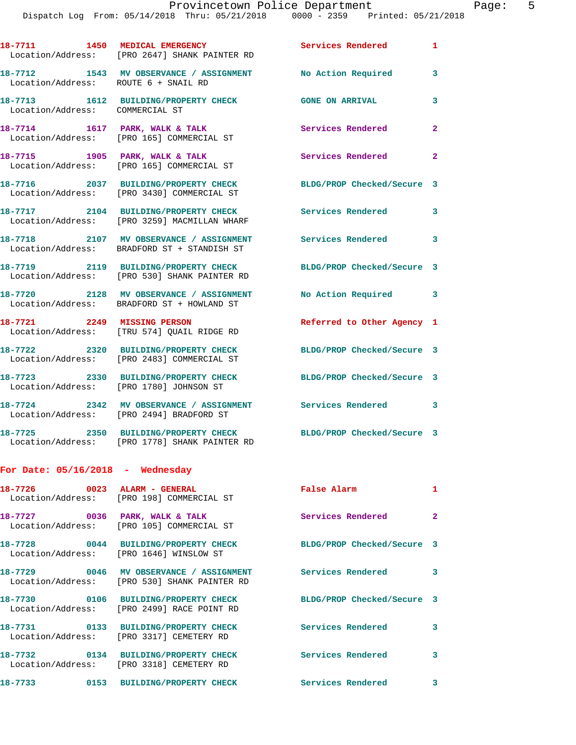Dispatch Log From: 05/14/2018 Thru: 05/21/2018 0000 - 2359 Printed: 05/21/2018

**18-7711 1450 MEDICAL EMERGENCY Services Rendered 1**  Location/Address: [PRO 2647] SHANK PAINTER RD **18-7712 1543 MV OBSERVANCE / ASSIGNMENT No Action Required 3**  Location/Address: ROUTE 6 + SNAIL RD **18-7713 1612 BUILDING/PROPERTY CHECK GONE ON ARRIVAL 3**  Location/Address: COMMERCIAL ST **18-7714 1617 PARK, WALK & TALK Services Rendered 2**  Location/Address: [PRO 165] COMMERCIAL ST **18-7715 1905 PARK, WALK & TALK Services Rendered 2**  Location/Address: [PRO 165] COMMERCIAL ST **18-7716 2037 BUILDING/PROPERTY CHECK BLDG/PROP Checked/Secure 3**  Location/Address: [PRO 3430] COMMERCIAL ST **18-7717 2104 BUILDING/PROPERTY CHECK Services Rendered 3**  Location/Address: [PRO 3259] MACMILLAN WHARF **18-7718 2107 MV OBSERVANCE / ASSIGNMENT Services Rendered 3**  Location/Address: BRADFORD ST + STANDISH ST **18-7719 2119 BUILDING/PROPERTY CHECK BLDG/PROP Checked/Secure 3**  Location/Address: [PRO 530] SHANK PAINTER RD **18-7720 2128 MV OBSERVANCE / ASSIGNMENT No Action Required 3**  Location/Address: BRADFORD ST + HOWLAND ST **18-7721 2249 MISSING PERSON Referred to Other Agency 1**  Location/Address: [TRU 574] QUAIL RIDGE RD **18-7722 2320 BUILDING/PROPERTY CHECK BLDG/PROP Checked/Secure 3**  Location/Address: [PRO 2483] COMMERCIAL ST **18-7723 2330 BUILDING/PROPERTY CHECK BLDG/PROP Checked/Secure 3**  Location/Address: [PRO 1780] JOHNSON ST **18-7724 2342 MV OBSERVANCE / ASSIGNMENT Services Rendered 3**  Location/Address: [PRO 2494] BRADFORD ST

**18-7725 2350 BUILDING/PROPERTY CHECK BLDG/PROP Checked/Secure 3**  Location/Address: [PRO 1778] SHANK PAINTER RD

## **For Date: 05/16/2018 - Wednesday**

|                                                     | Location/Address: [PRO 198] COMMERCIAL ST                                               | <b>False Alarm</b>         | 1              |
|-----------------------------------------------------|-----------------------------------------------------------------------------------------|----------------------------|----------------|
| 18-7727 0036 PARK, WALK & TALK<br>Location/Address: | [PRO 105] COMMERCIAL ST                                                                 | Services Rendered          | $\overline{2}$ |
| Location/Address: [PRO 1646] WINSLOW ST             | 18-7728 0044 BUILDING/PROPERTY CHECK                                                    | BLDG/PROP Checked/Secure 3 |                |
|                                                     | 18-7729 0046 MV OBSERVANCE / ASSIGNMENT<br>Location/Address: [PRO 530] SHANK PAINTER RD | <b>Services Rendered</b>   | 3              |
| Location/Address:                                   | [PRO 2499] RACE POINT RD                                                                | BLDG/PROP Checked/Secure 3 |                |
|                                                     | 18-7731 0133 BUILDING/PROPERTY CHECK<br>Location/Address: [PRO 3317] CEMETERY RD        | Services Rendered          | 3              |
| Location/Address:                                   | 18-7732 0134 BUILDING/PROPERTY CHECK<br>[PRO 3318] CEMETERY RD                          | Services Rendered          | 3              |
| 18-7733<br>0153                                     | <b>BUILDING/PROPERTY CHECK</b>                                                          | Services Rendered          | 3              |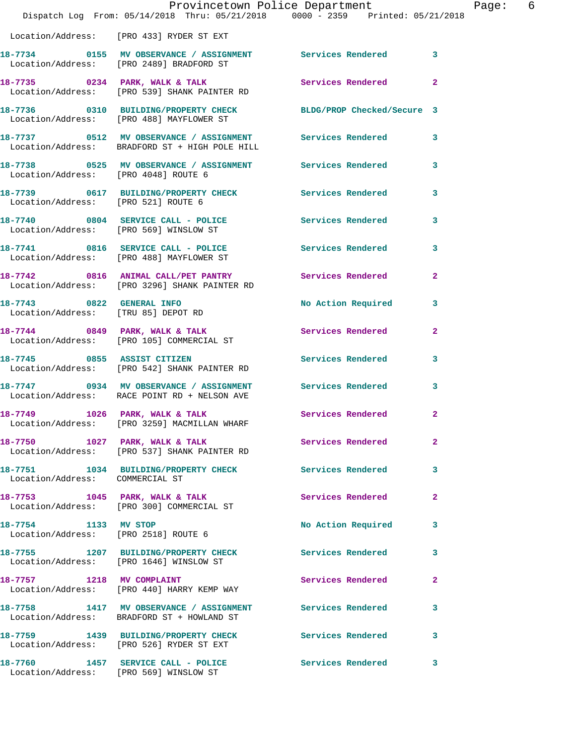|                                                                  | Provincetown Police Department<br>Dispatch Log From: 05/14/2018 Thru: 05/21/2018 0000 - 2359 Printed: 05/21/2018 |                           |                |
|------------------------------------------------------------------|------------------------------------------------------------------------------------------------------------------|---------------------------|----------------|
|                                                                  | Location/Address: [PRO 433] RYDER ST EXT                                                                         |                           |                |
|                                                                  | 18-7734 0155 MV OBSERVANCE / ASSIGNMENT Services Rendered<br>Location/Address: [PRO 2489] BRADFORD ST            |                           | $\mathbf{3}$   |
|                                                                  | 18-7735 0234 PARK, WALK & TALK<br>Location/Address: [PRO 539] SHANK PAINTER RD                                   | Services Rendered         | $\overline{2}$ |
|                                                                  | 18-7736 0310 BUILDING/PROPERTY CHECK BLDG/PROP Checked/Secure 3<br>Location/Address: [PRO 488] MAYFLOWER ST      |                           |                |
|                                                                  |                                                                                                                  |                           | 3              |
| Location/Address: [PRO 4048] ROUTE 6                             | 18-7738 0525 MV OBSERVANCE / ASSIGNMENT Services Rendered                                                        |                           | 3              |
| Location/Address: [PRO 521] ROUTE 6                              | 18-7739 0617 BUILDING/PROPERTY CHECK                                                                             | <b>Services Rendered</b>  | 3              |
|                                                                  | 18-7740 0804 SERVICE CALL - POLICE<br>Location/Address: [PRO 569] WINSLOW ST                                     | Services Rendered         | 3              |
|                                                                  | 18-7741 0816 SERVICE CALL - POLICE<br>Location/Address: [PRO 488] MAYFLOWER ST                                   | Services Rendered         | 3              |
|                                                                  | 18-7742 0816 ANIMAL CALL/PET PANTRY Services Rendered<br>Location/Address: [PRO 3296] SHANK PAINTER RD           |                           | $\overline{2}$ |
| 18-7743 0822 GENERAL INFO<br>Location/Address: [TRU 85] DEPOT RD |                                                                                                                  | <b>No Action Required</b> | 3              |
|                                                                  | 18-7744 0849 PARK, WALK & TALK<br>Location/Address: [PRO 105] COMMERCIAL ST                                      | Services Rendered         | $\mathbf{2}$   |
| 18-7745 0855 ASSIST CITIZEN                                      | Location/Address: [PRO 542] SHANK PAINTER RD                                                                     | <b>Services Rendered</b>  | 3              |
|                                                                  | 18-7747 0934 MV OBSERVANCE / ASSIGNMENT Services Rendered<br>Location/Address: RACE POINT RD + NELSON AVE        |                           | 3              |
| 18-7749 1026 PARK, WALK & TALK                                   | Location/Address: [PRO 3259] MACMILLAN WHARF                                                                     | Services Rendered         | $\mathbf{2}$   |
|                                                                  | $18-7750$ $1027$ PARK, WALK & TALK<br>Location/Address: [PRO 537] SHANK PAINTER RD                               | Services Rendered         | 2              |
| Location/Address: COMMERCIAL ST                                  | 18-7751 1034 BUILDING/PROPERTY CHECK                                                                             | Services Rendered         | 3              |
|                                                                  | 18-7753 1045 PARK, WALK & TALK<br>Location/Address: [PRO 300] COMMERCIAL ST                                      | Services Rendered         | $\overline{2}$ |
| 18-7754 1133 MV STOP                                             | Location/Address: [PRO 2518] ROUTE 6                                                                             | No Action Required        | 3              |
|                                                                  | 18-7755 1207 BUILDING/PROPERTY CHECK<br>Location/Address: [PRO 1646] WINSLOW ST                                  | <b>Services Rendered</b>  | 3              |
| 18-7757 1218 MV COMPLAINT                                        | Location/Address: [PRO 440] HARRY KEMP WAY                                                                       | Services Rendered         | $\overline{2}$ |
|                                                                  | 18-7758 1417 MV OBSERVANCE / ASSIGNMENT Services Rendered<br>Location/Address: BRADFORD ST + HOWLAND ST          |                           | 3              |
|                                                                  | 18-7759 1439 BUILDING/PROPERTY CHECK Services Rendered<br>Location/Address: [PRO 526] RYDER ST EXT               |                           | 3              |
|                                                                  | 18-7760 1457 SERVICE CALL - POLICE<br>Location/Address: [PRO 569] WINSLOW ST                                     | Services Rendered         | 3              |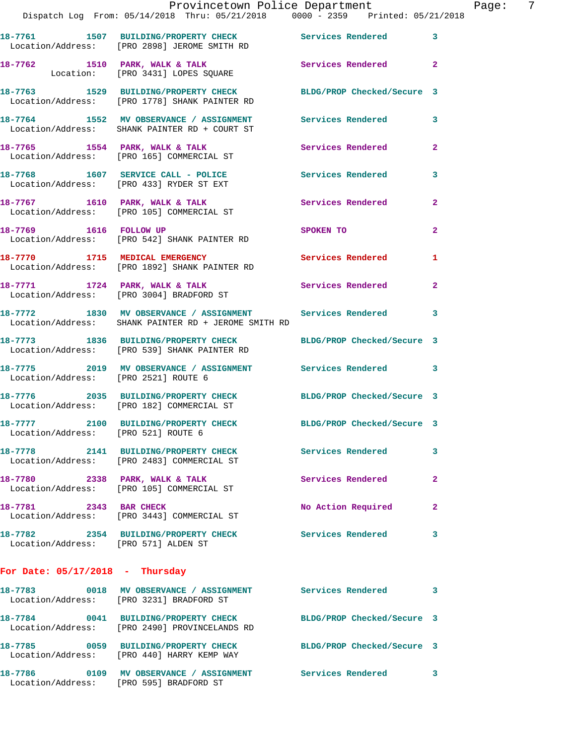|                                      |                                                                                                                     | Provincetown Police Department Fage: 7 |              |  |
|--------------------------------------|---------------------------------------------------------------------------------------------------------------------|----------------------------------------|--------------|--|
|                                      | Dispatch Log From: 05/14/2018 Thru: 05/21/2018 0000 - 2359 Printed: 05/21/2018                                      |                                        |              |  |
|                                      | 18-7761 1507 BUILDING/PROPERTY CHECK Services Rendered 3<br>Location/Address: [PRO 2898] JEROME SMITH RD            |                                        |              |  |
|                                      | 18-7762 1510 PARK, WALK & TALK 1999 Services Rendered 2<br>Location: [PRO 3431] LOPES SQUARE                        |                                        |              |  |
|                                      | 18-7763 1529 BUILDING/PROPERTY CHECK BLDG/PROP Checked/Secure 3<br>Location/Address: [PRO 1778] SHANK PAINTER RD    |                                        |              |  |
|                                      | 18-7764 1552 MV OBSERVANCE / ASSIGNMENT Services Rendered 3<br>Location/Address: SHANK PAINTER RD + COURT ST        |                                        |              |  |
|                                      | 18-7765 1554 PARK, WALK & TALK<br>Location/Address: [PRO 165] COMMERCIAL ST                                         | Services Rendered 2                    |              |  |
|                                      | 18-7768 1607 SERVICE CALL - POLICE Services Rendered<br>Location/Address: [PRO 433] RYDER ST EXT                    |                                        | $\mathbf{3}$ |  |
|                                      | 18-7767 1610 PARK, WALK & TALK<br>Location/Address: [PRO 105] COMMERCIAL ST                                         | Services Rendered 2                    |              |  |
|                                      | 18-7769 1616 FOLLOW UP<br>Location/Address: [PRO 542] SHANK PAINTER RD                                              | <b>SPOKEN TO</b>                       | $\mathbf{2}$ |  |
|                                      | 18-7770 1715 MEDICAL EMERGENCY Services Rendered 1<br>Location/Address: [PRO 1892] SHANK PAINTER RD                 |                                        |              |  |
|                                      | 18-7771 1724 PARK, WALK & TALK 1997 Services Rendered<br>Location/Address: [PRO 3004] BRADFORD ST                   |                                        | $\mathbf{2}$ |  |
|                                      | 18-7772 1830 MV OBSERVANCE / ASSIGNMENT Services Rendered 3<br>Location/Address: SHANK PAINTER RD + JEROME SMITH RD |                                        |              |  |
|                                      | 18-7773 1836 BUILDING/PROPERTY CHECK BLDG/PROP Checked/Secure 3<br>Location/Address: [PRO 539] SHANK PAINTER RD     |                                        |              |  |
| Location/Address: [PRO 2521] ROUTE 6 | 18-7775 2019 MV OBSERVANCE / ASSIGNMENT Services Rendered 3                                                         |                                        |              |  |
|                                      | 18-7776 2035 BUILDING/PROPERTY CHECK BLDG/PROP Checked/Secure 3<br>Location/Address: [PRO 182] COMMERCIAL ST        |                                        |              |  |
| Location/Address: [PRO 521] ROUTE 6  | 18-7777 2100 BUILDING/PROPERTY CHECK                                                                                | BLDG/PROP Checked/Secure 3             |              |  |
|                                      | 18-7778 2141 BUILDING/PROPERTY CHECK Services Rendered<br>Location/Address: [PRO 2483] COMMERCIAL ST                |                                        | 3            |  |
|                                      | 18-7780 2338 PARK, WALK & TALK<br>Location/Address: [PRO 105] COMMERCIAL ST                                         | Services Rendered                      | $\mathbf{2}$ |  |
|                                      | 18-7781 2343 BAR CHECK<br>Location/Address: [PRO 3443] COMMERCIAL ST                                                | No Action Required                     | 2            |  |
| Location/Address: [PRO 571] ALDEN ST | 18-7782 2354 BUILDING/PROPERTY CHECK Services Rendered 3                                                            |                                        |              |  |
| For Date: $05/17/2018$ - Thursday    |                                                                                                                     |                                        |              |  |
|                                      | 18-7783 0018 MV OBSERVANCE / ASSIGNMENT Services Rendered 3<br>Location/Address: [PRO 3231] BRADFORD ST             |                                        |              |  |
|                                      | 18-7784 0041 BUILDING/PROPERTY CHECK BLDG/PROP Checked/Secure 3<br>Location/Address: [PRO 2490] PROVINCELANDS RD    |                                        |              |  |
|                                      | 18-7785 0059 BUILDING/PROPERTY CHECK BLDG/PROP Checked/Secure 3<br>Location/Address: [PRO 440] HARRY KEMP WAY       |                                        |              |  |
|                                      | 18-7786 0109 MV OBSERVANCE / ASSIGNMENT Services Rendered 3<br>Location/Address: [PRO 595] BRADFORD ST              |                                        |              |  |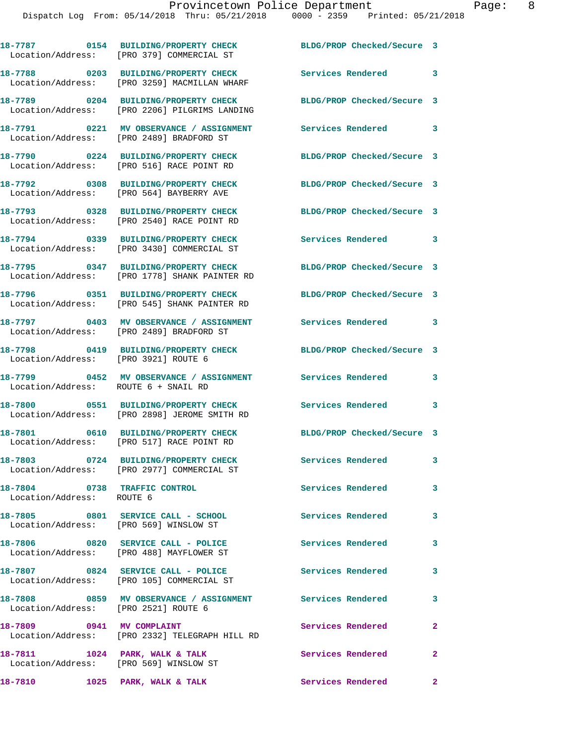|                                                                          | 18-7787 0154 BUILDING/PROPERTY CHECK<br>Location/Address: [PRO 379] COMMERCIAL ST     | BLDG/PROP Checked/Secure 3           |                            |
|--------------------------------------------------------------------------|---------------------------------------------------------------------------------------|--------------------------------------|----------------------------|
|                                                                          | 18-7788 0203 BUILDING/PROPERTY CHECK<br>Location/Address: [PRO 3259] MACMILLAN WHARF  | Services Rendered 3                  |                            |
|                                                                          | 18-7789 0204 BUILDING/PROPERTY CHECK<br>Location/Address: [PRO 2206] PILGRIMS LANDING | BLDG/PROP Checked/Secure 3           |                            |
|                                                                          | 18-7791 0221 MV OBSERVANCE / ASSIGNMENT<br>Location/Address: [PRO 2489] BRADFORD ST   | Services Rendered 3                  |                            |
|                                                                          | 18-7790 0224 BUILDING/PROPERTY CHECK<br>Location/Address: [PRO 516] RACE POINT RD     | BLDG/PROP Checked/Secure 3           |                            |
|                                                                          | 18-7792 0308 BUILDING/PROPERTY CHECK<br>Location/Address: [PRO 564] BAYBERRY AVE      | BLDG/PROP Checked/Secure 3           |                            |
|                                                                          | 18-7793 0328 BUILDING/PROPERTY CHECK<br>Location/Address: [PRO 2540] RACE POINT RD    | BLDG/PROP Checked/Secure 3           |                            |
|                                                                          | 18-7794 0339 BUILDING/PROPERTY CHECK<br>Location/Address: [PRO 3430] COMMERCIAL ST    | Services Rendered 3                  |                            |
|                                                                          | 18-7795 0347 BUILDING/PROPERTY CHECK<br>Location/Address: [PRO 1778] SHANK PAINTER RD | BLDG/PROP Checked/Secure 3           |                            |
|                                                                          | 18-7796 0351 BUILDING/PROPERTY CHECK<br>Location/Address: [PRO 545] SHANK PAINTER RD  | BLDG/PROP Checked/Secure 3           |                            |
|                                                                          | 18-7797 0403 MV OBSERVANCE / ASSIGNMENT<br>Location/Address: [PRO 2489] BRADFORD ST   | Services Rendered 3                  |                            |
| Location/Address: [PRO 3921] ROUTE 6                                     | 18-7798 0419 BUILDING/PROPERTY CHECK                                                  | BLDG/PROP Checked/Secure 3           |                            |
| Location/Address: ROUTE 6 + SNAIL RD                                     | 18-7799 0452 MV OBSERVANCE / ASSIGNMENT Services Rendered                             |                                      | 3                          |
|                                                                          | 18-7800 0551 BUILDING/PROPERTY CHECK<br>Location/Address: [PRO 2898] JEROME SMITH RD  | Services Rendered 3                  |                            |
|                                                                          | 18-7801 0610 BUILDING/PROPERTY CHECK<br>Location/Address: [PRO 517] RACE POINT RD     | BLDG/PROP Checked/Secure 3           |                            |
|                                                                          | 18-7803 0724 BUILDING/PROPERTY CHECK<br>Location/Address: [PRO 2977] COMMERCIAL ST    | Services Rendered                    | 3                          |
| 18-7804 0738 TRAFFIC CONTROL<br>Location/Address: ROUTE 6                |                                                                                       | Services Rendered                    | $\overline{\mathbf{3}}$    |
| Location/Address: [PRO 569] WINSLOW ST                                   | 18-7805 0801 SERVICE CALL - SCHOOL                                                    | <b>Services Rendered</b>             | 3                          |
|                                                                          | 18-7806 0820 SERVICE CALL - POLICE<br>Location/Address: [PRO 488] MAYFLOWER ST        | <b>Services Rendered</b><br>$\sim$ 3 |                            |
|                                                                          | 18-7807 0824 SERVICE CALL - POLICE<br>Location/Address: [PRO 105] COMMERCIAL ST       | Services Rendered                    | 3                          |
| Location/Address: [PRO 2521] ROUTE 6                                     | 18-7808 6859 MV OBSERVANCE / ASSIGNMENT Services Rendered 3                           |                                      |                            |
| 18-7809 0941 MV COMPLAINT                                                | Location/Address: [PRO 2332] TELEGRAPH HILL RD                                        | Services Rendered                    | 2                          |
| 18-7811 1024 PARK, WALK & TALK<br>Location/Address: [PRO 569] WINSLOW ST |                                                                                       | Services Rendered                    | $\overline{\phantom{a}}$ 2 |
| 18-7810 1025 PARK, WALK & TALK                                           |                                                                                       | Services Rendered 2                  |                            |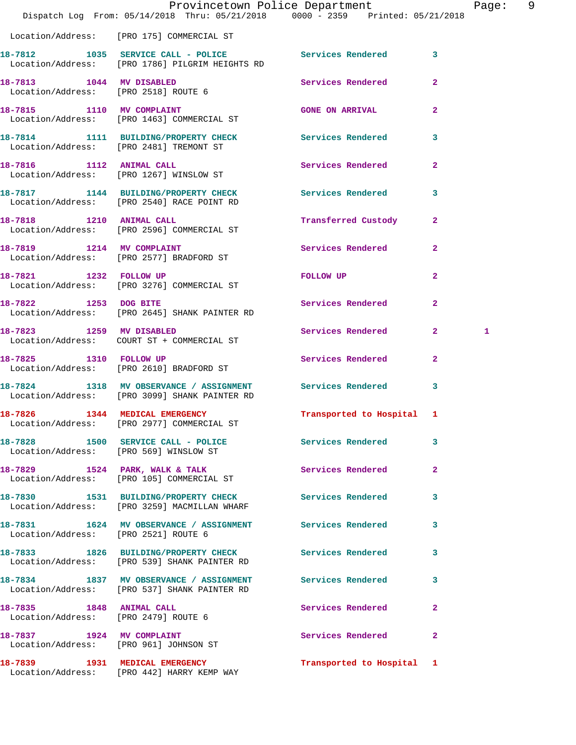|                                      |                                                                                                             | Provincetown Police Department |                | Page: | - 9 |
|--------------------------------------|-------------------------------------------------------------------------------------------------------------|--------------------------------|----------------|-------|-----|
|                                      | Dispatch Log From: 05/14/2018 Thru: 05/21/2018 0000 - 2359 Printed: 05/21/2018                              |                                |                |       |     |
|                                      | Location/Address: [PRO 175] COMMERCIAL ST                                                                   |                                |                |       |     |
|                                      | 18-7812 1035 SERVICE CALL - POLICE 3 Services Rendered 3<br>Location/Address: [PRO 1786] PILGRIM HEIGHTS RD |                                |                |       |     |
| Location/Address: [PRO 2518] ROUTE 6 | 18-7813 1044 MV DISABLED                                                                                    | Services Rendered              | $\mathbf{2}$   |       |     |
|                                      | 18-7815 1110 MV COMPLAINT<br>Location/Address: [PRO 1463] COMMERCIAL ST                                     | <b>GONE ON ARRIVAL</b>         | $\overline{2}$ |       |     |
|                                      | 18-7814 1111 BUILDING/PROPERTY CHECK<br>Location/Address: [PRO 2481] TREMONT ST                             | Services Rendered              | 3              |       |     |
| 18-7816 1112 ANIMAL CALL             | Location/Address: [PRO 1267] WINSLOW ST                                                                     | Services Rendered 2            |                |       |     |
|                                      | 18-7817 1144 BUILDING/PROPERTY CHECK<br>Location/Address: [PRO 2540] RACE POINT RD                          | <b>Services Rendered</b>       | 3              |       |     |
| 18-7818 1210 ANIMAL CALL             | Location/Address: [PRO 2596] COMMERCIAL ST                                                                  | <b>Transferred Custody</b>     | $\mathbf{2}$   |       |     |
|                                      | 18-7819 1214 MV COMPLAINT<br>Location/Address: [PRO 2577] BRADFORD ST                                       | Services Rendered              | $\mathbf{2}$   |       |     |
| 18-7821 1232 FOLLOW UP               | Location/Address: [PRO 3276] COMMERCIAL ST                                                                  | <b>FOLLOW UP</b>               | $\mathbf{2}$   |       |     |
|                                      | 18-7822 1253 DOG BITE<br>Location/Address: [PRO 2645] SHANK PAINTER RD                                      | Services Rendered              | $\overline{2}$ |       |     |
| 18-7823 1259 MV DISABLED             | Location/Address: COURT ST + COMMERCIAL ST                                                                  | Services Rendered 2            |                | 1     |     |
| 18-7825 1310 FOLLOW UP               | Location/Address: [PRO 2610] BRADFORD ST                                                                    | Services Rendered              | $\mathbf{2}$   |       |     |
|                                      | 18-7824 1318 MV OBSERVANCE / ASSIGNMENT<br>Location/Address: [PRO 3099] SHANK PAINTER RD                    | Services Rendered              | 3              |       |     |
|                                      | 18-7826 1344 MEDICAL EMERGENCY<br>Location/Address: [PRO 2977] COMMERCIAL ST                                | Transported to Hospital 1      |                |       |     |
|                                      | 18-7828 1500 SERVICE CALL - POLICE 30 Services Rendered<br>Location/Address: [PRO 569] WINSLOW ST           |                                | 3              |       |     |
|                                      | 18-7829 1524 PARK, WALK & TALK<br>Location/Address: [PRO 105] COMMERCIAL ST                                 | Services Rendered              | $\mathbf{2}$   |       |     |
|                                      | 18-7830 1531 BUILDING/PROPERTY CHECK Services Rendered<br>Location/Address: [PRO 3259] MACMILLAN WHARF      |                                | 3              |       |     |
| Location/Address: [PRO 2521] ROUTE 6 | 18-7831 1624 MV OBSERVANCE / ASSIGNMENT Services Rendered                                                   |                                | 3              |       |     |
|                                      | 18-7833 1826 BUILDING/PROPERTY CHECK Services Rendered<br>Location/Address: [PRO 539] SHANK PAINTER RD      |                                | 3              |       |     |
|                                      | 18-7834 1837 MV OBSERVANCE / ASSIGNMENT Services Rendered<br>Location/Address: [PRO 537] SHANK PAINTER RD   |                                | $\mathbf{3}$   |       |     |
| Location/Address: [PRO 2479] ROUTE 6 | 18-7835 1848 ANIMAL CALL                                                                                    | Services Rendered              | $\mathbf{2}$   |       |     |
|                                      | 18-7837 1924 MV COMPLAINT<br>Location/Address: [PRO 961] JOHNSON ST                                         | Services Rendered 2            |                |       |     |
|                                      | 18-7839 1931 MEDICAL EMERGENCY<br>Location/Address: [PRO 442] HARRY KEMP WAY                                | Transported to Hospital 1      |                |       |     |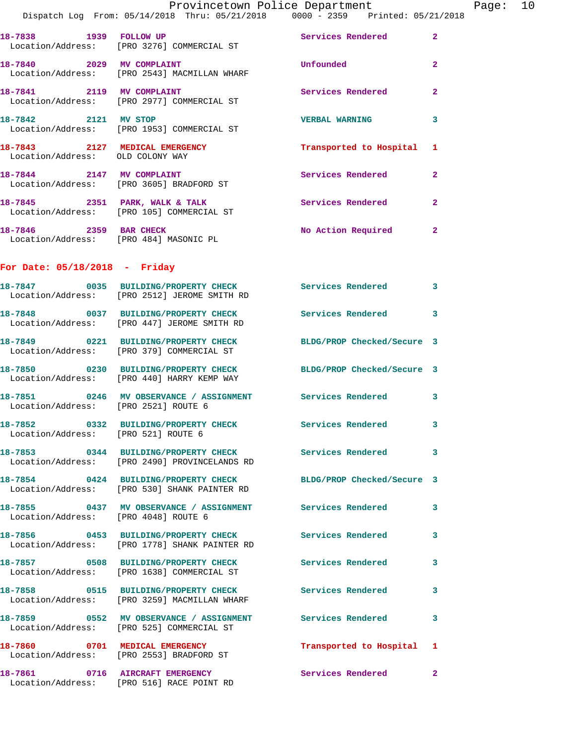Page:  $10$ <br>  $2018$ 

|                                                                    | Provincetown Police Department                                                                                |                            |                |
|--------------------------------------------------------------------|---------------------------------------------------------------------------------------------------------------|----------------------------|----------------|
|                                                                    | Dispatch Log From: 05/14/2018 Thru: 05/21/2018 0000 - 2359 Printed: 05/21/2018                                |                            |                |
| 18-7838 1939 FOLLOW UP                                             | Location/Address: [PRO 3276] COMMERCIAL ST                                                                    | <b>Services Rendered</b>   | $\mathbf{2}$   |
| 18-7840 2029 MV COMPLAINT                                          | Location/Address: [PRO 2543] MACMILLAN WHARF                                                                  | Unfounded                  | $\mathbf{2}$   |
|                                                                    | 18-7841 2119 MV COMPLAINT<br>Location/Address: [PRO 2977] COMMERCIAL ST                                       | <b>Services Rendered</b>   | $\mathbf{2}$   |
| 18-7842 2121 MV STOP                                               | Location/Address: [PRO 1953] COMMERCIAL ST                                                                    | <b>VERBAL WARNING</b>      | 3              |
| 18-7843 2127 MEDICAL EMERGENCY<br>Location/Address: OLD COLONY WAY |                                                                                                               | Transported to Hospital    | 1              |
|                                                                    | 18-7844 2147 MV COMPLAINT<br>Location/Address: [PRO 3605] BRADFORD ST                                         | Services Rendered          | $\mathbf{2}$   |
|                                                                    | 18-7845 2351 PARK, WALK & TALK<br>Location/Address: [PRO 105] COMMERCIAL ST                                   | Services Rendered          | $\overline{a}$ |
| 18-7846 2359 BAR CHECK                                             | Location/Address: [PRO 484] MASONIC PL                                                                        | No Action Required         | $\overline{2}$ |
| For Date: $05/18/2018$ - Friday                                    |                                                                                                               |                            |                |
|                                                                    | 18-7847 0035 BUILDING/PROPERTY CHECK Services Rendered<br>Location/Address: [PRO 2512] JEROME SMITH RD        |                            | 3              |
|                                                                    | 18-7848 0037 BUILDING/PROPERTY CHECK Services Rendered<br>Location/Address: [PRO 447] JEROME SMITH RD         |                            | 3              |
|                                                                    | 18-7849 0221 BUILDING/PROPERTY CHECK<br>Location/Address: [PRO 379] COMMERCIAL ST                             | BLDG/PROP Checked/Secure 3 |                |
|                                                                    | 18-7850 0230 BUILDING/PROPERTY CHECK BLDG/PROP Checked/Secure 3<br>Location/Address: [PRO 440] HARRY KEMP WAY |                            |                |
| Location/Address: [PRO 2521] ROUTE 6                               | 18-7851 6246 MV OBSERVANCE / ASSIGNMENT Services Rendered                                                     |                            | 3              |
| Location/Address: [PRO 521] ROUTE 6                                | 18-7852 0332 BUILDING/PROPERTY CHECK                                                                          | <b>Services Rendered</b>   |                |
|                                                                    | 18-7853 0344 BUILDING/PROPERTY CHECK Services Rendered<br>Location/Address: [PRO 2490] PROVINCELANDS RD       |                            | 3              |
|                                                                    | 18-7854 0424 BUILDING/PROPERTY CHECK<br>Location/Address: [PRO 530] SHANK PAINTER RD                          | BLDG/PROP Checked/Secure 3 |                |
| Location/Address: [PRO 4048] ROUTE 6                               | 18-7855 0437 MV OBSERVANCE / ASSIGNMENT Services Rendered                                                     |                            | 3              |
|                                                                    | 18-7856 0453 BUILDING/PROPERTY CHECK Services Rendered<br>Location/Address: [PRO 1778] SHANK PAINTER RD       |                            | 3              |
|                                                                    | 18-7857 0508 BUILDING/PROPERTY CHECK<br>Location/Address: [PRO 1638] COMMERCIAL ST                            | <b>Services Rendered</b>   | 3              |
|                                                                    | 18-7858 0515 BUILDING/PROPERTY CHECK<br>Location/Address: [PRO 3259] MACMILLAN WHARF                          | Services Rendered          | 3              |
|                                                                    | 18-7859 		 0552 MV OBSERVANCE / ASSIGNMENT Services Rendered<br>Location/Address: [PRO 525] COMMERCIAL ST     |                            | 3              |
|                                                                    | 18-7860 0701 MEDICAL EMERGENCY<br>Location/Address: [PRO 2553] BRADFORD ST                                    | Transported to Hospital    | 1              |
| 18-7861  0716 AIRCRAFT EMERGENCY                                   |                                                                                                               | Services Rendered          | $\mathbf{2}^-$ |

Location/Address: [PRO 516] RACE POINT RD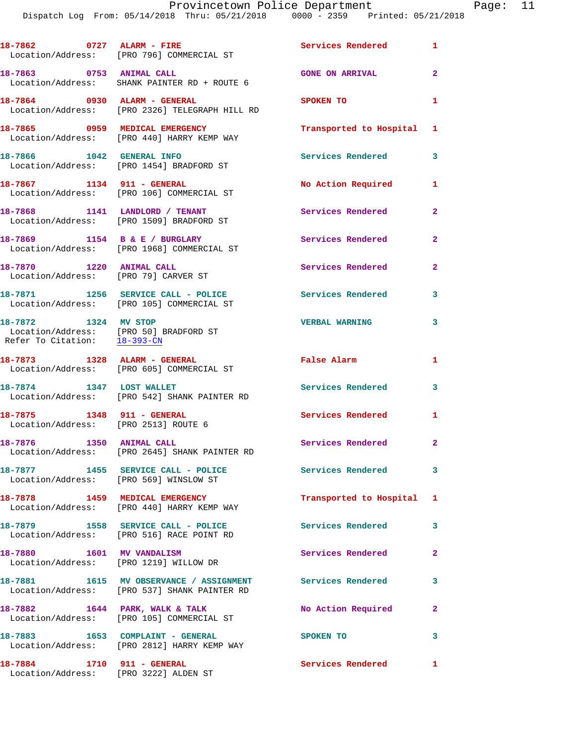Dispatch Log From: 05/14/2018 Thru: 05/21/2018 0000 - 2359 Printed: 05/21/2018

|                                                                    | 18-7862 0727 ALARM - FIRE<br>Location/Address: [PRO 796] COMMERCIAL ST                  | Services Rendered 1       |              |
|--------------------------------------------------------------------|-----------------------------------------------------------------------------------------|---------------------------|--------------|
| 18-7863 0753 ANIMAL CALL                                           | Location/Address: SHANK PAINTER RD + ROUTE 6                                            | <b>GONE ON ARRIVAL</b>    | $\mathbf{2}$ |
| 18-7864 0930 ALARM - GENERAL                                       | Location/Address: [PRO 2326] TELEGRAPH HILL RD                                          | <b>SPOKEN TO</b>          | $\mathbf{1}$ |
|                                                                    | 18-7865 0959 MEDICAL EMERGENCY<br>Location/Address: [PRO 440] HARRY KEMP WAY            | Transported to Hospital 1 |              |
| 18-7866 1042 GENERAL INFO                                          | Location/Address: [PRO 1454] BRADFORD ST                                                | Services Rendered 3       |              |
|                                                                    | 18-7867 1134 911 - GENERAL<br>Location/Address: [PRO 106] COMMERCIAL ST                 | No Action Required        | 1            |
|                                                                    | 18-7868 1141 LANDLORD / TENANT<br>Location/Address: [PRO 1509] BRADFORD ST              | Services Rendered         | $\mathbf{2}$ |
|                                                                    | 18-7869 1154 B & E / BURGLARY<br>Location/Address: [PRO 1968] COMMERCIAL ST             | Services Rendered         | $\mathbf{2}$ |
| 18-7870 1220 ANIMAL CALL<br>Location/Address: [PRO 79] CARVER ST   |                                                                                         | Services Rendered         | $\mathbf{2}$ |
|                                                                    | 18-7871 1256 SERVICE CALL - POLICE<br>Location/Address: [PRO 105] COMMERCIAL ST         | Services Rendered         | 3            |
| 18-7872 1324 MV STOP<br>Refer To Citation: 18-393-CN               | Location/Address: [PRO 50] BRADFORD ST                                                  | <b>VERBAL WARNING</b>     | 3            |
|                                                                    | 18-7873 1328 ALARM - GENERAL<br>Location/Address: [PRO 605] COMMERCIAL ST               | False Alarm               | $\mathbf{1}$ |
| 18-7874 1347 LOST WALLET                                           | Location/Address: [PRO 542] SHANK PAINTER RD                                            | Services Rendered         | 3            |
| 18-7875 1348 911 - GENERAL<br>Location/Address: [PRO 2513] ROUTE 6 |                                                                                         | Services Rendered 1       |              |
| 18-7876                                                            | 1350 ANIMAL CALL<br>Location/Address: [PRO 2645] SHANK PAINTER RD                       | Services Rendered         | 2            |
|                                                                    | 18-7877 1455 SERVICE CALL - POLICE<br>Location/Address: [PRO 569] WINSLOW ST            | Services Rendered         | $\mathbf{3}$ |
|                                                                    | 18-7878 1459 MEDICAL EMERGENCY<br>Location/Address: [PRO 440] HARRY KEMP WAY            | Transported to Hospital 1 |              |
|                                                                    | 18-7879 1558 SERVICE CALL - POLICE<br>Location/Address: [PRO 516] RACE POINT RD         | Services Rendered         | 3            |
| 18-7880 1601 MV VANDALISM                                          | Location/Address: [PRO 1219] WILLOW DR                                                  | Services Rendered         | $\mathbf{2}$ |
|                                                                    | 18-7881 1615 MV OBSERVANCE / ASSIGNMENT<br>Location/Address: [PRO 537] SHANK PAINTER RD | Services Rendered         | 3            |
|                                                                    | 18-7882 1644 PARK, WALK & TALK<br>Location/Address: [PRO 105] COMMERCIAL ST             | No Action Required        | $\mathbf{2}$ |
|                                                                    | 18-7883 1653 COMPLAINT - GENERAL<br>Location/Address: [PRO 2812] HARRY KEMP WAY         | SPOKEN TO                 | 3            |
| 18-7884 1710 911 - GENERAL                                         | Location/Address: [PRO 3222] ALDEN ST                                                   | Services Rendered         | $\mathbf{1}$ |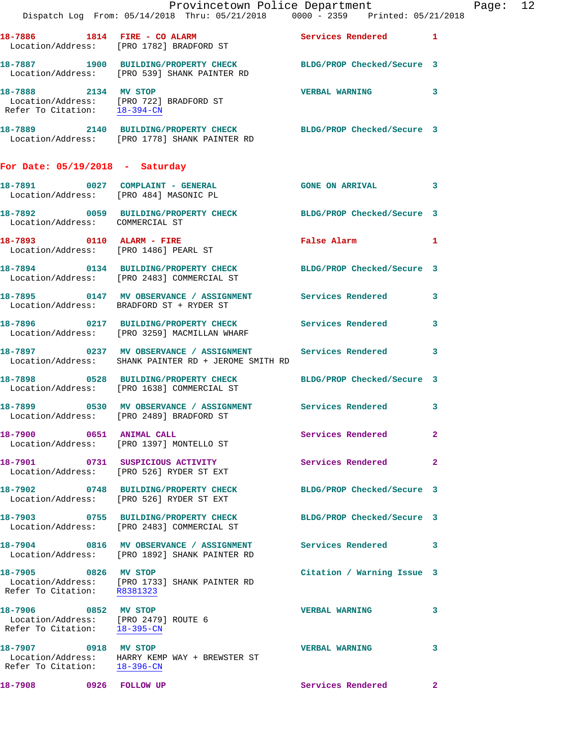|                                                                                              | Provincetown Police Department<br>Dispatch Log From: 05/14/2018 Thru: 05/21/2018 0000 - 2359 Printed: 05/21/2018    |                            |              | Page: 12 |  |
|----------------------------------------------------------------------------------------------|---------------------------------------------------------------------------------------------------------------------|----------------------------|--------------|----------|--|
|                                                                                              | 18-7886 1814 FIRE - CO ALARM 1997 Services Rendered 1<br>Location/Address: [PRO 1782] BRADFORD ST                   |                            |              |          |  |
|                                                                                              | 18-7887 1900 BUILDING/PROPERTY CHECK BLDG/PROP Checked/Secure 3<br>Location/Address: [PRO 539] SHANK PAINTER RD     |                            |              |          |  |
|                                                                                              | 18-7888 2134 MV STOP<br>Location/Address: [PRO 722] BRADFORD ST<br>Refer To Citation: <u>18-394-CN</u>              | VERBAL WARNING 3           |              |          |  |
|                                                                                              | 18-7889 2140 BUILDING/PROPERTY CHECK BLDG/PROP Checked/Secure 3<br>Location/Address: [PRO 1778] SHANK PAINTER RD    |                            |              |          |  |
| For Date: $05/19/2018$ - Saturday                                                            |                                                                                                                     |                            |              |          |  |
|                                                                                              | 18-7891 0027 COMPLAINT - GENERAL GONE ON ARRIVAL 3<br>Location/Address: [PRO 484] MASONIC PL                        |                            |              |          |  |
| Location/Address: COMMERCIAL ST                                                              | 18-7892 0059 BUILDING/PROPERTY CHECK BLDG/PROP Checked/Secure 3                                                     |                            |              |          |  |
| Location/Address: [PRO 1486] PEARL ST                                                        | 18-7893 0110 ALARM - FIRE                                                                                           | False Alarm 1              |              |          |  |
|                                                                                              | 18-7894 0134 BUILDING/PROPERTY CHECK BLDG/PROP Checked/Secure 3<br>Location/Address: [PRO 2483] COMMERCIAL ST       |                            |              |          |  |
|                                                                                              | 18-7895 0147 MV OBSERVANCE / ASSIGNMENT Services Rendered 3<br>Location/Address: BRADFORD ST + RYDER ST             |                            |              |          |  |
|                                                                                              | 18-7896 0217 BUILDING/PROPERTY CHECK Services Rendered 3<br>Location/Address: [PRO 3259] MACMILLAN WHARF            |                            |              |          |  |
|                                                                                              | 18-7897 0237 MV OBSERVANCE / ASSIGNMENT Services Rendered 3<br>Location/Address: SHANK PAINTER RD + JEROME SMITH RD |                            |              |          |  |
|                                                                                              | 18-7898 0528 BUILDING/PROPERTY CHECK BLDG/PROP Checked/Secure 3<br>Location/Address: [PRO 1638] COMMERCIAL ST       |                            |              |          |  |
|                                                                                              | 18-7899 0530 MV OBSERVANCE / ASSIGNMENT Services Rendered 3<br>Location/Address: [PRO 2489] BRADFORD ST             |                            |              |          |  |
|                                                                                              | 18-7900 0651 ANIMAL CALL<br>Location/Address: [PRO 1397] MONTELLO ST                                                | Services Rendered          | $\mathbf{2}$ |          |  |
|                                                                                              | 18-7901 0731 SUSPICIOUS ACTIVITY<br>Location/Address: [PRO 526] RYDER ST EXT                                        | Services Rendered          | $\mathbf{2}$ |          |  |
|                                                                                              | 18-7902 0748 BUILDING/PROPERTY CHECK<br>Location/Address: [PRO 526] RYDER ST EXT                                    | BLDG/PROP Checked/Secure 3 |              |          |  |
|                                                                                              | 18-7903 0755 BUILDING/PROPERTY CHECK<br>Location/Address: [PRO 2483] COMMERCIAL ST                                  | BLDG/PROP Checked/Secure 3 |              |          |  |
|                                                                                              | 18-7904 0816 MV OBSERVANCE / ASSIGNMENT<br>Location/Address: [PRO 1892] SHANK PAINTER RD                            | Services Rendered 3        |              |          |  |
| 18-7905 0826 MV STOP                                                                         | Location/Address: [PRO 1733] SHANK PAINTER RD<br>Refer To Citation: R8381323                                        | Citation / Warning Issue 3 |              |          |  |
| 18-7906 0852 MV STOP<br>Location/Address: [PRO 2479] ROUTE 6<br>Refer To Citation: 18-395-CN |                                                                                                                     | <b>VERBAL WARNING</b>      | 3            |          |  |
| 18-7907 0918 MV STOP<br>Refer To Citation: 18-396-CN                                         | Location/Address: HARRY KEMP WAY + BREWSTER ST                                                                      | <b>VERBAL WARNING</b>      | 3            |          |  |
| 18-7908 0926 FOLLOW UP                                                                       |                                                                                                                     | Services Rendered          | $\mathbf{2}$ |          |  |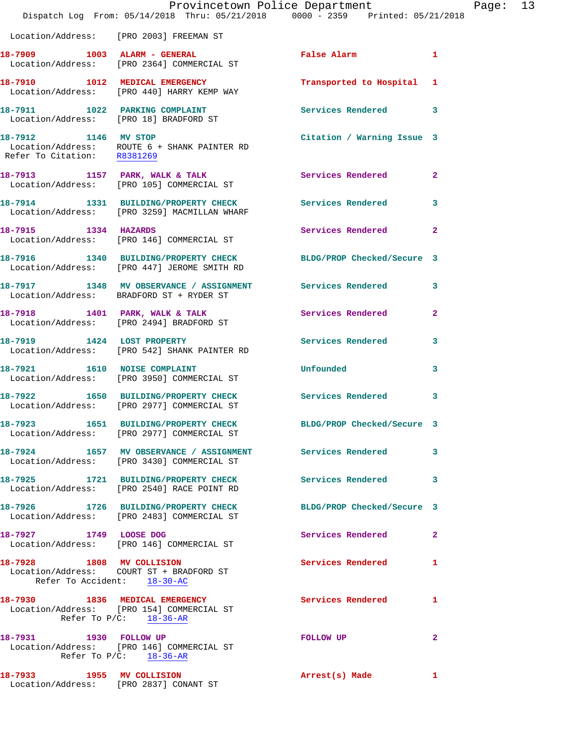|                                                          | Provincetown Police Department<br>Dispatch Log From: 05/14/2018 Thru: 05/21/2018 0000 - 2359 Printed: 05/21/2018 |                            |                |
|----------------------------------------------------------|------------------------------------------------------------------------------------------------------------------|----------------------------|----------------|
|                                                          | Location/Address: [PRO 2003] FREEMAN ST                                                                          |                            |                |
|                                                          | 18-7909 1003 ALARM - GENERAL<br>Location/Address: [PRO 2364] COMMERCIAL ST                                       | False Alarm <b>Filter</b>  | 1              |
|                                                          | 18-7910 1012 MEDICAL EMERGENCY<br>Location/Address: [PRO 440] HARRY KEMP WAY                                     | Transported to Hospital    | 1              |
|                                                          | 18-7911 1022 PARKING COMPLAINT<br>Location/Address: [PRO 18] BRADFORD ST                                         | Services Rendered          | 3              |
| 18-7912 1146 MV STOP<br>Refer To Citation: R8381269      | Location/Address: ROUTE 6 + SHANK PAINTER RD                                                                     | Citation / Warning Issue 3 |                |
|                                                          | 18-7913 1157 PARK, WALK & TALK<br>Location/Address: [PRO 105] COMMERCIAL ST                                      | Services Rendered          | $\overline{2}$ |
|                                                          | 18-7914 1331 BUILDING/PROPERTY CHECK Services Rendered<br>Location/Address: [PRO 3259] MACMILLAN WHARF           |                            | 3              |
| 18-7915 1334 HAZARDS                                     | Location/Address: [PRO 146] COMMERCIAL ST                                                                        | Services Rendered          | $\overline{a}$ |
|                                                          | 18-7916 1340 BUILDING/PROPERTY CHECK<br>Location/Address: [PRO 447] JEROME SMITH RD                              | BLDG/PROP Checked/Secure 3 |                |
|                                                          | 18-7917 1348 MV OBSERVANCE / ASSIGNMENT Services Rendered<br>Location/Address: BRADFORD ST + RYDER ST            |                            | 3              |
|                                                          | 18-7918 1401 PARK, WALK & TALK<br>Location/Address: [PRO 2494] BRADFORD ST                                       | Services Rendered          | $\mathbf{2}$   |
|                                                          | 18-7919 1424 LOST PROPERTY<br>Location/Address: [PRO 542] SHANK PAINTER RD                                       | Services Rendered          | 3              |
|                                                          | 18-7921 1610 NOISE COMPLAINT<br>Location/Address: [PRO 3950] COMMERCIAL ST                                       | Unfounded                  | 3              |
|                                                          | 18-7922 1650 BUILDING/PROPERTY CHECK<br>Location/Address: [PRO 2977] COMMERCIAL ST                               | Services Rendered          | 3              |
|                                                          | 18-7923 1651 BUILDING/PROPERTY CHECK<br>Location/Address: [PRO 2977] COMMERCIAL ST                               | BLDG/PROP Checked/Secure 3 |                |
|                                                          | 18-7924 1657 MV OBSERVANCE / ASSIGNMENT Services Rendered<br>Location/Address: [PRO 3430] COMMERCIAL ST          |                            | 3              |
|                                                          | 18-7925 1721 BUILDING/PROPERTY CHECK<br>Location/Address: [PRO 2540] RACE POINT RD                               | <b>Services Rendered</b>   | 3              |
|                                                          | 18-7926 1726 BUILDING/PROPERTY CHECK<br>Location/Address: [PRO 2483] COMMERCIAL ST                               | BLDG/PROP Checked/Secure 3 |                |
| 18-7927 1749 LOOSE DOG                                   | Location/Address: [PRO 146] COMMERCIAL ST                                                                        | Services Rendered          | 2              |
| 18-7928 1808 MV COLLISION<br>Refer To Accident: 18-30-AC | Location/Address: COURT ST + BRADFORD ST                                                                         | Services Rendered          | 1              |
|                                                          | 18-7930 1836 MEDICAL EMERGENCY<br>Location/Address: [PRO 154] COMMERCIAL ST<br>Refer To $P/C$ : 18-36-AR         | <b>Services Rendered</b>   | 1              |
| 18-7931 1930 FOLLOW UP                                   | Location/Address: [PRO 146] COMMERCIAL ST<br>Refer To $P/C$ : 18-36-AR                                           | FOLLOW UP                  | 2              |
| 18-7933 1955 MV COLLISION                                |                                                                                                                  | Arrest(s) Made             | 1              |

Location/Address: [PRO 2837] CONANT ST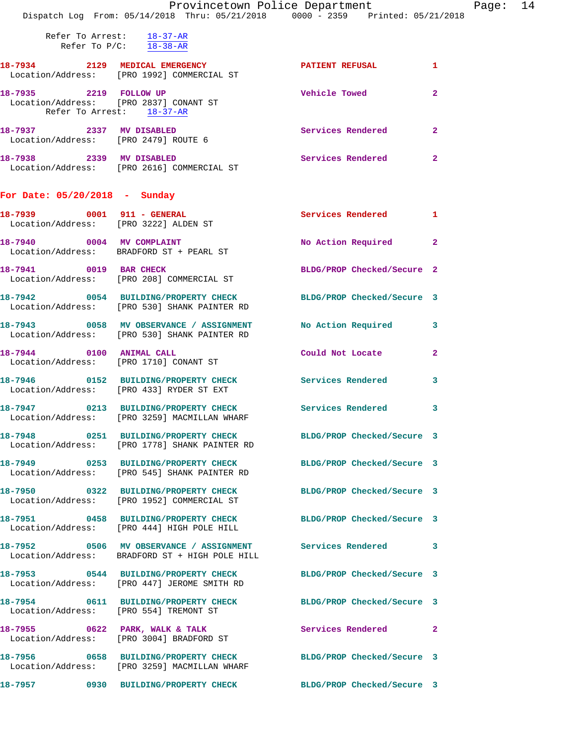|                                                                     | Provincetown Police Department                                                                                   |                            |                |
|---------------------------------------------------------------------|------------------------------------------------------------------------------------------------------------------|----------------------------|----------------|
|                                                                     | Dispatch Log From: 05/14/2018 Thru: 05/21/2018 0000 - 2359 Printed: 05/21/2018                                   |                            |                |
|                                                                     | Refer To Arrest: 18-37-AR<br>Refer To $P/C$ : $\frac{18-38-AR}{2}$                                               |                            |                |
|                                                                     | 18-7934 2129 MEDICAL EMERGENCY<br>Location/Address: [PRO 1992] COMMERCIAL ST                                     | PATIENT REFUSAL            | 1              |
| 18-7935 2219 FOLLOW UP<br>Refer To Arrest: 18-37-AR                 | Location/Address: [PRO 2837] CONANT ST                                                                           | <b>Vehicle Towed</b>       | $\mathbf{2}$   |
|                                                                     |                                                                                                                  | Services Rendered          | $\mathbf{2}$   |
| 18-7938 2339 MV DISABLED                                            | Location/Address: [PRO 2616] COMMERCIAL ST                                                                       | <b>Services Rendered</b>   | $\overline{2}$ |
| For Date: $05/20/2018$ - Sunday                                     |                                                                                                                  |                            |                |
| 18-7939 0001 911 - GENERAL<br>Location/Address: [PRO 3222] ALDEN ST |                                                                                                                  | <b>Services Rendered</b>   | 1              |
|                                                                     | 18-7940 0004 MV COMPLAINT<br>Location/Address: BRADFORD ST + PEARL ST                                            | No Action Required         | $\mathbf{2}$   |
|                                                                     | 18-7941 0019 BAR CHECK<br>Location/Address: [PRO 208] COMMERCIAL ST                                              | BLDG/PROP Checked/Secure 2 |                |
|                                                                     | 18-7942 0054 BUILDING/PROPERTY CHECK BLDG/PROP Checked/Secure 3<br>Location/Address: [PRO 530] SHANK PAINTER RD  |                            |                |
|                                                                     | 18-7943 0058 MV OBSERVANCE / ASSIGNMENT No Action Required<br>Location/Address: [PRO 530] SHANK PAINTER RD       |                            | 3              |
| 18-7944 0100 ANIMAL CALL                                            | Location/Address: [PRO 1710] CONANT ST                                                                           | Could Not Locate           | $\mathbf{2}$   |
|                                                                     | 18-7946 		 0152 BUILDING/PROPERTY CHECK Services Rendered<br>Location/Address: [PRO 433] RYDER ST EXT            |                            | 3              |
|                                                                     | 18-7947 		 0213 BUILDING/PROPERTY CHECK Services Rendered<br>Location/Address: [PRO 3259] MACMILLAN WHARF        |                            | 3              |
|                                                                     | 18-7948 0251 BUILDING/PROPERTY CHECK BLDG/PROP Checked/Secure 3<br>Location/Address: [PRO 1778] SHANK PAINTER RD |                            |                |
|                                                                     | 18-7949 0253 BUILDING/PROPERTY CHECK<br>Location/Address: [PRO 545] SHANK PAINTER RD                             | BLDG/PROP Checked/Secure 3 |                |
|                                                                     | 18-7950 0322 BUILDING/PROPERTY CHECK<br>Location/Address: [PRO 1952] COMMERCIAL ST                               | BLDG/PROP Checked/Secure 3 |                |
|                                                                     | 18-7951 0458 BUILDING/PROPERTY CHECK<br>Location/Address: [PRO 444] HIGH POLE HILL                               | BLDG/PROP Checked/Secure 3 |                |
|                                                                     | 18-7952 0506 MV OBSERVANCE / ASSIGNMENT Services Rendered<br>Location/Address: BRADFORD ST + HIGH POLE HILL      |                            | 3              |
|                                                                     | 18-7953 0544 BUILDING/PROPERTY CHECK<br>Location/Address: [PRO 447] JEROME SMITH RD                              | BLDG/PROP Checked/Secure 3 |                |
| Location/Address: [PRO 554] TREMONT ST                              | 18-7954 0611 BUILDING/PROPERTY CHECK BLDG/PROP Checked/Secure 3                                                  |                            |                |
|                                                                     | $18-7955$ 0622 PARK, WALK & TALK<br>Location/Address: [PRO 3004] BRADFORD ST                                     | Services Rendered          | $\mathbf{2}$   |
|                                                                     | 18-7956 0658 BUILDING/PROPERTY CHECK BLDG/PROP Checked/Secure 3<br>Location/Address: [PRO 3259] MACMILLAN WHARF  |                            |                |
|                                                                     | 18-7957 0930 BUILDING/PROPERTY CHECK                                                                             | BLDG/PROP Checked/Secure 3 |                |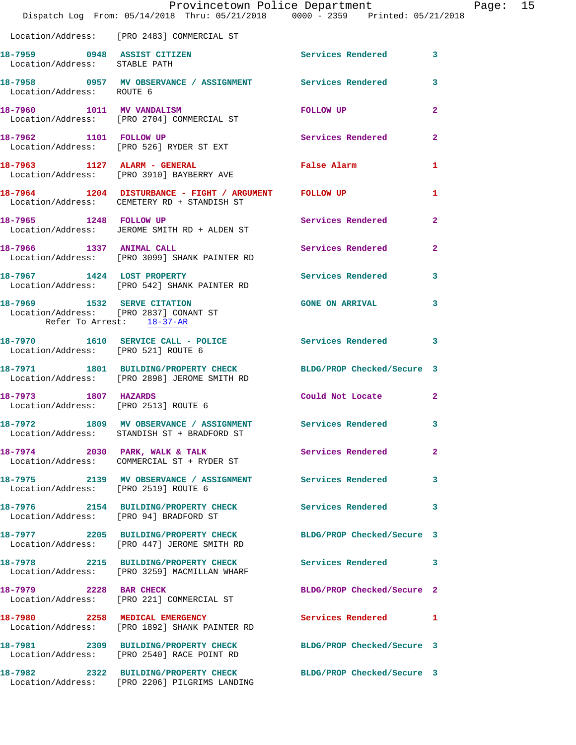|                                                                     | Provincetown Police Department<br>Dispatch Log From: 05/14/2018 Thru: 05/21/2018 0000 - 2359 Printed: 05/21/2018 |                            |                         |
|---------------------------------------------------------------------|------------------------------------------------------------------------------------------------------------------|----------------------------|-------------------------|
|                                                                     | Location/Address: [PRO 2483] COMMERCIAL ST                                                                       |                            |                         |
|                                                                     |                                                                                                                  | Services Rendered          | 3                       |
| Location/Address: ROUTE 6                                           | 18-7958       0957   MV OBSERVANCE / ASSIGNMENT      Services Rendered                                           |                            | 3                       |
|                                                                     | 18-7960 1011 MV VANDALISM<br>Location/Address: [PRO 2704] COMMERCIAL ST                                          | FOLLOW UP                  | $\overline{\mathbf{2}}$ |
|                                                                     | 18-7962 1101 FOLLOW UP<br>Location/Address: [PRO 526] RYDER ST EXT                                               | Services Rendered          | $\mathbf{2}$            |
|                                                                     | 18-7963 1127 ALARM - GENERAL<br>Location/Address: [PRO 3910] BAYBERRY AVE                                        | False Alarm                | 1                       |
|                                                                     | 18-7964 1204 DISTURBANCE - FIGHT / ARGUMENT FOLLOW UP<br>Location/Address: CEMETERY RD + STANDISH ST             |                            | 1                       |
| 18-7965 1248 FOLLOW UP                                              | Location/Address: JEROME SMITH RD + ALDEN ST                                                                     | Services Rendered          | $\overline{a}$          |
|                                                                     | 18-7966 1337 ANIMAL CALL<br>Location/Address: [PRO 3099] SHANK PAINTER RD                                        | <b>Services Rendered</b>   | $\overline{a}$          |
| 18-7967 1424 LOST PROPERTY                                          | Location/Address: [PRO 542] SHANK PAINTER RD                                                                     | Services Rendered          | 3                       |
| Location/Address: [PRO 2837] CONANT ST<br>Refer To Arrest: 18-37-AR | 18-7969 1532 SERVE CITATION                                                                                      | <b>GONE ON ARRIVAL</b>     | 3                       |
| Location/Address: [PRO 521] ROUTE 6                                 | 18-7970 1610 SERVICE CALL - POLICE                                                                               | Services Rendered          | 3                       |
|                                                                     | 18-7971 1801 BUILDING/PROPERTY CHECK BLDG/PROP Checked/Secure 3<br>Location/Address: [PRO 2898] JEROME SMITH RD  |                            |                         |
| 18-7973 1807 HAZARDS<br>Location/Address: [PRO 2513] ROUTE 6        |                                                                                                                  | Could Not Locate           | 2                       |
|                                                                     | 18-7972 1809 MV OBSERVANCE / ASSIGNMENT<br>Location/Address: STANDISH ST + BRADFORD ST                           | Services Rendered          | 3                       |
|                                                                     | 18-7974 2030 PARK, WALK & TALK<br>Location/Address: COMMERCIAL ST + RYDER ST                                     | Services Rendered          | $\overline{2}$          |
| Location/Address: [PRO 2519] ROUTE 6                                | 18-7975 2139 MV OBSERVANCE / ASSIGNMENT Services Rendered                                                        |                            | 3                       |
| Location/Address: [PRO 94] BRADFORD ST                              | 18-7976 2154 BUILDING/PROPERTY CHECK Services Rendered                                                           |                            | 3                       |
|                                                                     | 18-7977 2205 BUILDING/PROPERTY CHECK<br>Location/Address: [PRO 447] JEROME SMITH RD                              | BLDG/PROP Checked/Secure 3 |                         |
|                                                                     | 18-7978 2215 BUILDING/PROPERTY CHECK<br>Location/Address: [PRO 3259] MACMILLAN WHARF                             | Services Rendered          | 3                       |
| 18-7979 2228 BAR CHECK                                              | Location/Address: [PRO 221] COMMERCIAL ST                                                                        | BLDG/PROP Checked/Secure 2 |                         |
|                                                                     | 18-7980 2258 MEDICAL EMERGENCY<br>Location/Address: [PRO 1892] SHANK PAINTER RD                                  | Services Rendered          | 1                       |
|                                                                     | 18-7981 2309 BUILDING/PROPERTY CHECK<br>Location/Address: [PRO 2540] RACE POINT RD                               | BLDG/PROP Checked/Secure 3 |                         |
|                                                                     | 18-7982 2322 BUILDING/PROPERTY CHECK<br>Location/Address: [PRO 2206] PILGRIMS LANDING                            | BLDG/PROP Checked/Secure 3 |                         |